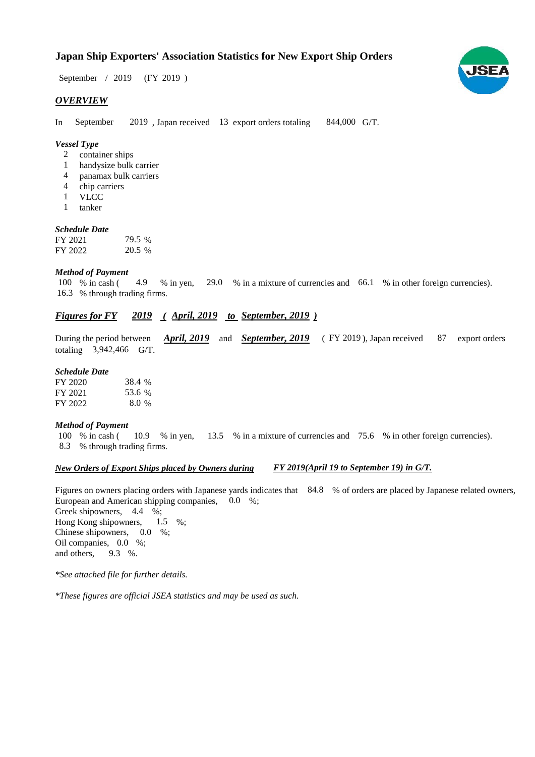# **Japan Ship Exporters' Association Statistics for New Export Ship Orders**

 $/ 2019$  (FY 2019) September / 2019

#### *OVERVIEW*

In September 2019, Japan received 13 export orders totaling 844,000 G/T. September

#### *Vessel Type*

- container ships 2
- handysize bulk carrier 1
- panamax bulk carriers 4
- chip carriers 4
- VLCC 1
- tanker 1

#### *Schedule Date*

| FY 2021 | 79.5 % |
|---------|--------|
| FY 2022 | 20.5 % |

#### *Method of Payment*

% in cash ( $\leq 4.9$  % in yen,  $\leq 29.0$  % in a mixture of currencies and  $\leq 66.1$  % in other foreign currencies). % through trading firms. 16.3 100 % in cash (4.9)

# *Figures for FY* 2019 (April, 2019 to September, 2019)

During the period between *April, 2019* and *September, 2019* (FY 2019), Japan received 87 export orders totaling  $3,942,466$  G/T.

#### *Schedule Date*

| FY 2020 | 38.4 % |
|---------|--------|
| FY 2021 | 53.6 % |
| FY 2022 | 8.0 %  |

#### *Method of Payment*

% in cash ( $\frac{10.9}{8}$  in yen,  $\frac{13.5}{8}$  % in a mixture of currencies and 75.6 % in other foreign currencies). % through trading firms. 8.3 100 % in cash (

#### *New Orders of Export Ships placed by Owners during FY 2019(April 19 to September 19) in G/T.*

Figures on owners placing orders with Japanese yards indicates that 84.8 % of orders are placed by Japanese related owners, European and American shipping companies,  $0.0\%$ ;

Greek shipowners, 4.4 %; Hong Kong shipowners,  $1.5\%$ ; Chinese shipowners,  $0.0\%$ ; Oil companies, 0.0 %; and others,  $9.3\%$ . 1.5

*\*See attached file for further details.*

*\*These figures are official JSEA statistics and may be used as such.*

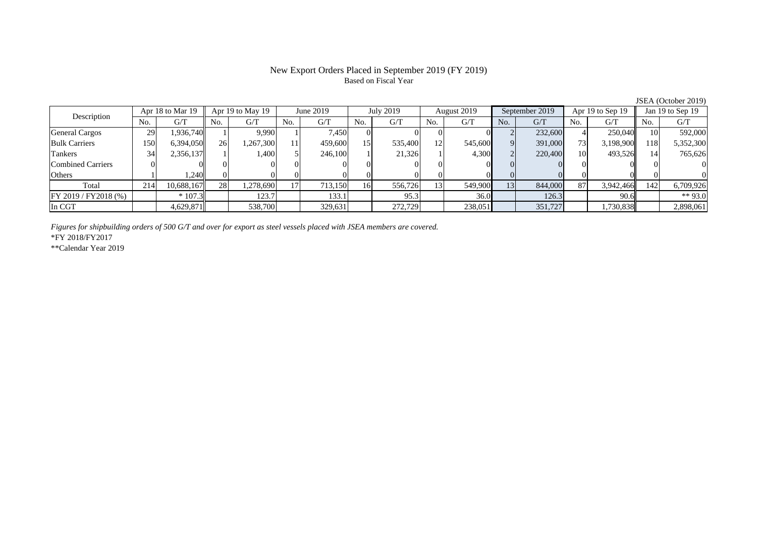## New Export Orders Placed in September 2019 (FY 2019) Based on Fiscal Year

No. G/T No. G/T No. G/T No. G/T No. G/T No. G/T No. G/T No. G/T $G/T$ General Cargos ( 29 1,936,740 1 1) 9,990 1 7,450 0 0 0 0 0 2 232,600 4 250,040 10 592,000 Bulk Carriers 150 6,394,050 26 1,267,300 11 459,600 15 535,400 12 545,600 9 391,000 73 3,198,900 118 5,352,300 Tankers | 34| 2,356,137|| 1| 1,400| 5| 246,100| 1| 21,326| 1| 4,300| 2| 220,400| 10| 493,526|| 14| 765,626 Combined Carriers 0 0 0 0 0 0 0 0 0 0 0 0 0 0 0 0Others | 1,240 || 0 | 0 | 0 | 0 | 0 | 0 | 0 | 0 | 0 Total 214 10,688,167 28 1,278,690 17 713,150 16 556,726 13 549,900 13 844,000 87 3,942,466 142 6,709,926 FY 2019 / FY2018 (%) | \* 107.3 | 123.7 | 133.1 | 95.3 | 36.0 | 126.3 | 90.6 | \*\* 93.0 In CGT | | 4,629,871 | | 538,700 | | 329,631 | | 272,729 | | 238,051 | | 351,727 | | 1,730,838 || | 2,898,061 Apr 18 to Mar 19 Apr 19 to May 19 June 2019 July 2019 August 2019 September 2019 Apr 19 to Sep 19 Jan 19 to Sep 19 Description

*Figures for shipbuilding orders of 500 G/T and over for export as steel vessels placed with JSEA members are covered.*

\*FY 2018/FY2017

\*\*Calendar Year 2019

JSEA (October 2019)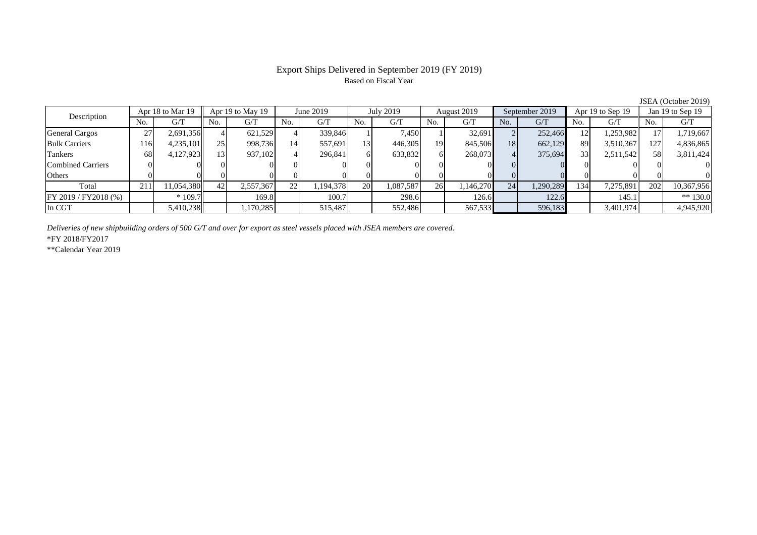## Export Ships Delivered in September 2019 (FY 2019) Based on Fiscal Year

No. G/T No. G/T No. G/T No. G/T No. G/T No. G/T No. G/T No. G/T $G/T$ General Cargos ( 27 2,691,356 4 621,529 4 339,846 1 7,450 1 32,691 2 252,466 12 1,253,982 17 1,719,667 Bulk Carriers 116 4,235,101 25 998,736 14 557,691 13 446,305 19 845,506 18 662,129 89 3,510,367 127 4,836,865 Tankers | 68| 4,127,923|| 13| 937,102| 4| 296,841| 6| 633,832| 6| 268,073| 4| 375,694| 33| 2,511,542|| 58| 3,811,424 Combined Carriers 0 0 0 0 0 0 0 0 0 0 0 0 0 0 0 0Others 0 0 0 0 0 0 0 0 0 0 0 0 0 0 0 0Total 211 11,054,380 42 2,557,367 22 1,194,378 20 1,087,587 26 1,146,270 24 1,290,289 134 7,275,891 202 10,367,956 |FY 2019 / FY2018 (%) | | \*109.7 | 169.8 | 100.7 | 298.6 | 126.6 | 122.6 | 145.1 | \*\* 130.0 In CGT | | 5,410,238 || | 1,170,285 || | 552,487 || | 552,486 || | 567,533 || | 596,183 || 3,401,974 || | 4,945,920 Description Apr 18 to Mar 19 Apr 19 to May 19 June 2019 July 2019 August 2019 September 2019 Apr 19 to Sep 19 Jan 19 to Sep 19

*Deliveries of new shipbuilding orders of 500 G/T and over for export as steel vessels placed with JSEA members are covered.*

\*FY 2018/FY2017

\*\*Calendar Year 2019

JSEA (October 2019)